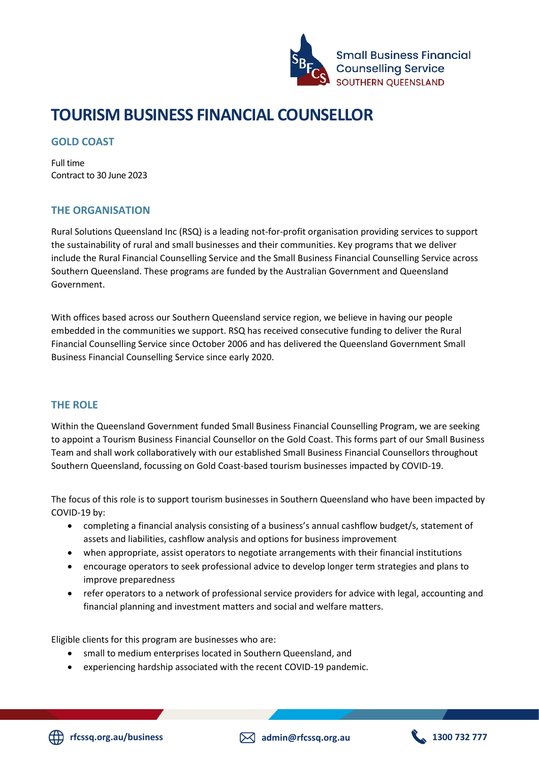

# **TOURISM BUSINESS FINANCIAL COUNSELLOR**

## **GOLD COAST**

Full time Contract to 30 June 2023

## **THE ORGANISATION**

Rural Solutions Queensland Inc (RSQ) is a leading not-for-profit organisation providing services to support the sustainability of rural and small businesses and their communities. Key programs that we deliver include the Rural Financial Counselling Service and the Small Business Financial Counselling Service across Southern Queensland. These programs are funded by the Australian Government and Queensland Government.

With offices based across our Southern Queensland service region, we believe in having our people embedded in the communities we support. RSQ has received consecutive funding to deliver the Rural Financial Counselling Service since October 2006 and has delivered the Queensland Government Small Business Financial Counselling Service since early 2020.

## **THE ROLE**

Within the Queensland Government funded Small Business Financial Counselling Program, we are seeking to appoint a Tourism Business Financial Counsellor on the Gold Coast. This forms part of our Small Business Team and shall work collaboratively with our established Small Business Financial Counsellors throughout Southern Queensland, focussing on Gold Coast-based tourism businesses impacted by COVID-19.

The focus of this role is to support tourism businesses in Southern Queensland who have been impacted by COVID-19 by:

- completing a financial analysis consisting of a business's annual cashflow budget/s, statement of assets and liabilities, cashflow analysis and options for business improvement
- when appropriate, assist operators to negotiate arrangements with their financial institutions
- encourage operators to seek professional advice to develop longer term strategies and plans to improve preparedness
- refer operators to a network of professional service providers for advice with legal, accounting and financial planning and investment matters and social and welfare matters.

Eligible clients for this program are businesses who are:

- small to medium enterprises located in Southern Queensland, and
- experiencing hardship associated with the recent COVID-19 pandemic.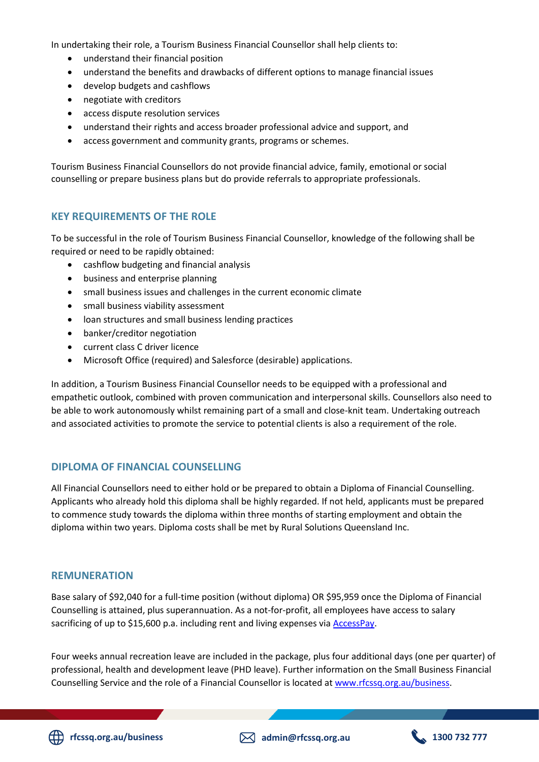In undertaking their role, a Tourism Business Financial Counsellor shall help clients to:

- understand their financial position
- understand the benefits and drawbacks of different options to manage financial issues
- develop budgets and cashflows
- negotiate with creditors
- access dispute resolution services
- understand their rights and access broader professional advice and support, and
- access government and community grants, programs or schemes.

Tourism Business Financial Counsellors do not provide financial advice, family, emotional or social counselling or prepare business plans but do provide referrals to appropriate professionals.

#### **KEY REQUIREMENTS OF THE ROLE**

To be successful in the role of Tourism Business Financial Counsellor, knowledge of the following shall be required or need to be rapidly obtained:

- cashflow budgeting and financial analysis
- business and enterprise planning
- small business issues and challenges in the current economic climate
- small business viability assessment
- loan structures and small business lending practices
- banker/creditor negotiation
- current class C driver licence
- Microsoft Office (required) and Salesforce (desirable) applications.

In addition, a Tourism Business Financial Counsellor needs to be equipped with a professional and empathetic outlook, combined with proven communication and interpersonal skills. Counsellors also need to be able to work autonomously whilst remaining part of a small and close-knit team. Undertaking outreach and associated activities to promote the service to potential clients is also a requirement of the role.

#### **DIPLOMA OF FINANCIAL COUNSELLING**

All Financial Counsellors need to either hold or be prepared to obtain a Diploma of Financial Counselling. Applicants who already hold this diploma shall be highly regarded. If not held, applicants must be prepared to commence study towards the diploma within three months of starting employment and obtain the diploma within two years. Diploma costs shall be met by Rural Solutions Queensland Inc.

#### **REMUNERATION**

Base salary of \$92,040 for a full-time position (without diploma) OR \$95,959 once the Diploma of Financial Counselling is attained, plus superannuation. As a not-for-profit, all employees have access to salary sacrificing of up to \$15,600 p.a. including rent and living expenses via [AccessPay.](https://accesspay.com.au/salary-packaging/)

Four weeks annual recreation leave are included in the package, plus four additional days (one per quarter) of professional, health and development leave (PHD leave). Further information on the Small Business Financial Counselling Service and the role of a Financial Counsellor is located at [www.rfcssq.org.au/business.](http://www.rfcssq.org.au/business)

**rfcssq.org.au/business admin@rfcssq.org.au 1300 732 777**